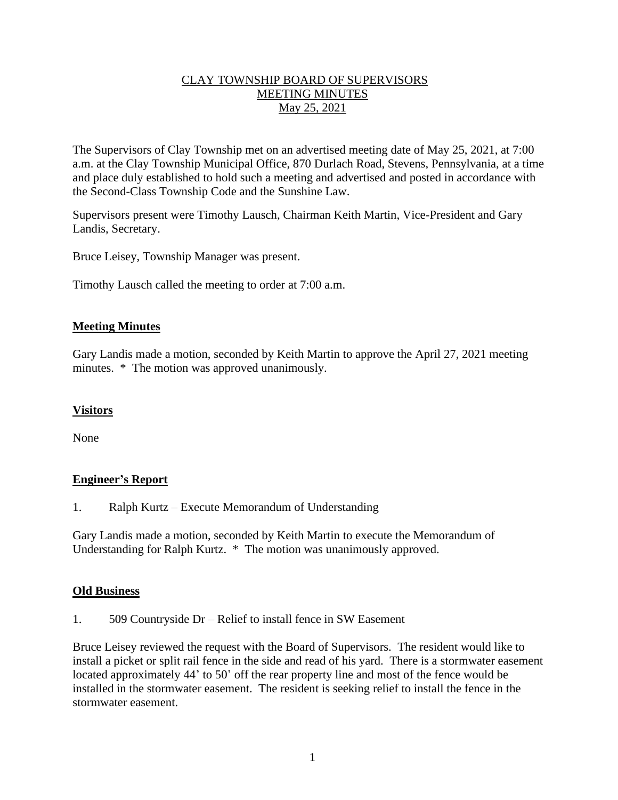## CLAY TOWNSHIP BOARD OF SUPERVISORS MEETING MINUTES May 25, 2021

The Supervisors of Clay Township met on an advertised meeting date of May 25, 2021, at 7:00 a.m. at the Clay Township Municipal Office, 870 Durlach Road, Stevens, Pennsylvania, at a time and place duly established to hold such a meeting and advertised and posted in accordance with the Second-Class Township Code and the Sunshine Law.

Supervisors present were Timothy Lausch, Chairman Keith Martin, Vice-President and Gary Landis, Secretary.

Bruce Leisey, Township Manager was present.

Timothy Lausch called the meeting to order at 7:00 a.m.

## **Meeting Minutes**

Gary Landis made a motion, seconded by Keith Martin to approve the April 27, 2021 meeting minutes. \* The motion was approved unanimously.

## **Visitors**

None

## **Engineer's Report**

1. Ralph Kurtz – Execute Memorandum of Understanding

Gary Landis made a motion, seconded by Keith Martin to execute the Memorandum of Understanding for Ralph Kurtz. \* The motion was unanimously approved.

#### **Old Business**

1. 509 Countryside Dr – Relief to install fence in SW Easement

Bruce Leisey reviewed the request with the Board of Supervisors. The resident would like to install a picket or split rail fence in the side and read of his yard. There is a stormwater easement located approximately 44' to 50' off the rear property line and most of the fence would be installed in the stormwater easement. The resident is seeking relief to install the fence in the stormwater easement.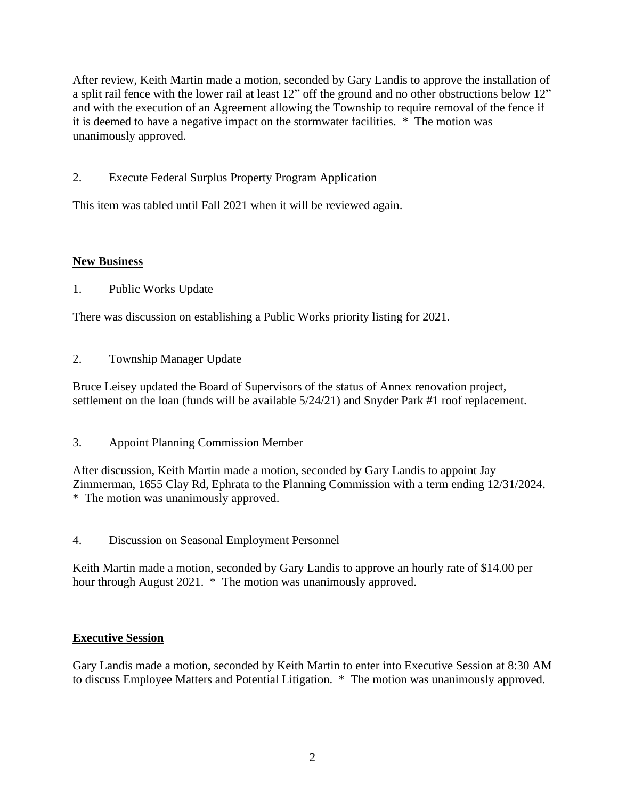After review, Keith Martin made a motion, seconded by Gary Landis to approve the installation of a split rail fence with the lower rail at least 12" off the ground and no other obstructions below 12" and with the execution of an Agreement allowing the Township to require removal of the fence if it is deemed to have a negative impact on the stormwater facilities. \* The motion was unanimously approved.

2. Execute Federal Surplus Property Program Application

This item was tabled until Fall 2021 when it will be reviewed again.

# **New Business**

1. Public Works Update

There was discussion on establishing a Public Works priority listing for 2021.

2. Township Manager Update

Bruce Leisey updated the Board of Supervisors of the status of Annex renovation project, settlement on the loan (funds will be available  $5/24/21$ ) and Snyder Park #1 roof replacement.

3. Appoint Planning Commission Member

After discussion, Keith Martin made a motion, seconded by Gary Landis to appoint Jay Zimmerman, 1655 Clay Rd, Ephrata to the Planning Commission with a term ending 12/31/2024. \* The motion was unanimously approved.

4. Discussion on Seasonal Employment Personnel

Keith Martin made a motion, seconded by Gary Landis to approve an hourly rate of \$14.00 per hour through August 2021. \* The motion was unanimously approved.

## **Executive Session**

Gary Landis made a motion, seconded by Keith Martin to enter into Executive Session at 8:30 AM to discuss Employee Matters and Potential Litigation. \* The motion was unanimously approved.